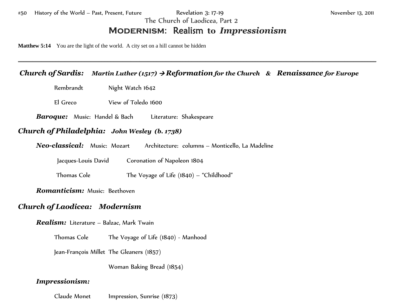The Church of Laodicea, Part 2

# **Modernism:** Realism **to** *Impressionism*

\_\_\_\_\_\_\_\_\_\_\_\_\_\_\_\_\_\_\_\_\_\_\_\_\_\_\_\_\_\_\_\_\_\_\_\_\_\_\_\_\_\_\_\_\_\_\_\_\_\_\_\_\_\_\_\_\_\_\_\_\_\_\_\_\_\_\_\_\_\_\_\_\_\_\_\_\_\_\_\_\_\_\_\_\_\_\_\_\_\_\_\_\_\_\_\_\_\_\_\_\_\_\_\_\_\_\_\_\_\_\_\_\_\_\_\_\_\_\_\_\_\_\_\_

**Matthew 5:14** You are the light of the world. A city set on a hill cannot be hidden

## *Church of Sardis: Martin Luther (1517)* <sup>→</sup> *Reformation for the Church & Renaissance for Europe*

Rembrandt Night Watch 1642

El Greco View of Toledo 1600

*Baroque:* Music: Handel & Bach Literature: Shakespeare

#### *Church of Philadelphia: John Wesley (b. 1738)*

*Neo-classical:* Music: Mozart Architecture: columns – Monticello, La Madeline

Jacques-Louis David Coronation of Napoleon 1804

Thomas Cole The Voyage of Life (1840) – "Childhood"

*Romanticism:* Music: Beethoven

### *Church of Laodicea: Modernism*

*Realism:* Literature – Balzac, Mark Twain

Thomas Cole The Voyage of Life (1840) - Manhood

Jean-François Millet The Gleaners (1857)

Woman Baking Bread (1854)

#### *Impressionism:*

Claude Monet Impression, Sunrise (1873)